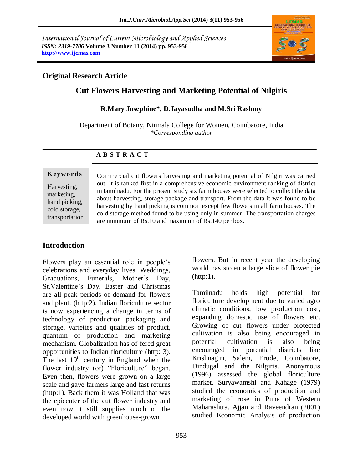*International Journal of Current Microbiology and Applied Sciences ISSN: 2319-7706* **Volume 3 Number 11 (2014) pp. 953-956 http://www.ijcmas.com**



## **Original Research Article**

# **Cut Flowers Harvesting and Marketing Potential of Nilgiris**

### **R.Mary Josephine\*, D.Jayasudha and M.Sri Rashmy**

Department of Botany, Nirmala College for Women, Coimbatore, India *\*Corresponding author* 

### **A B S T R A C T**

#### **K ey w o rd s**

Harvesting, marketing, hand picking, cold storage, transportation Commercial cut flowers harvesting and marketing potential of Nilgiri was carried out. It is ranked first in a comprehensive economic environment ranking of district in tamilnadu. For the present study six farm houses were selected to collect the data about harvesting, storage package and transport. From the data it was found to be harvesting by hand picking is common except few flowers in all farm houses. The cold storage method found to be using only in summer. The transportation charges are minimum of Rs.10 and maximum of Rs.140 per box.

## **Introduction**

Flowers play an essential role in people's celebrations and everyday lives. Weddings, Graduations, Funerals, Mother's Day, St.Valentine's Day, Easter and Christmas are all peak periods of demand for flowers and plant. (http:2). Indian floriculture sector is now experiencing a change in terms of technology of production packaging and storage, varieties and qualities of product, quantum of production and marketing mechanism. Globalization has of fered great opportunities to Indian floriculture (http: 3). The last  $19<sup>th</sup>$  century in England when the flower industry (or) "Floriculture" began. Even then, flowers were grown on a large scale and gave farmers large and fast returns (http:1). Back them it was Holland that was the epicenter of the cut flower industry and even now it still supplies much of the developed world with greenhouse-grown

flowers. But in recent year the developing world has stolen a large slice of flower pie (http:1).

Tamilnadu holds high potential for floriculture development due to varied agro climatic conditions, low production cost, expanding domestic use of flowers etc. Growing of cut flowers under protected cultivation is also being encouraged in potential cultivation is also being encouraged in potential districts like Krishnagiri, Salem, Erode, Coimbatore, Dindugal and the Nilgiris. Anonymous (1996) assessed the global floriculture market. Suryawamshi and Kahage (1979) studied the economics of production and marketing of rose in Pune of Western Maharashtra. Ajjan and Raveendran (2001) studied Economic Analysis of production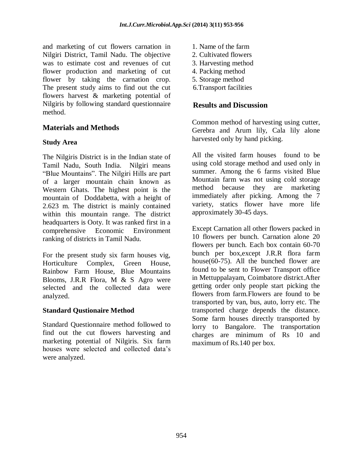and marketing of cut flowers carnation in Nilgiri District, Tamil Nadu. The objective was to estimate cost and revenues of cut flower production and marketing of cut flower by taking the carnation crop. The present study aims to find out the cut flowers harvest & marketing potential of Nilgiris by following standard questionnaire method.

## **Materials and Methods**

### **Study Area**

The Nilgiris District is in the Indian state of Tamil Nadu, South India. Nilgiri means "Blue Mountains". The Nilgiri Hills are part of a larger mountain chain known as Western Ghats. The highest point is the mountain of Doddabetta, with a height of 2.623 m. The district is mainly contained within this mountain range. The district headquarters is Ooty. It was ranked first in a comprehensive Economic Environment ranking of districts in Tamil Nadu.

For the present study six farm houses vig, Horticulture Complex, Green House, Rainbow Farm House, Blue Mountains Blooms, J.R.R Flora, M & S Agro were selected and the collected data were analyzed.

### **Standard Qustionaire Method**

Standard Questionnaire method followed to find out the cut flowers harvesting and marketing potential of Nilgiris. Six farm houses were selected and collected data's were analyzed.

- 1. Name of the farm
- 2. Cultivated flowers
- 3. Harvesting method
- 4. Packing method
- 5. Storage method
- 6.Transport facilities

### **Results and Discussion**

Common method of harvesting using cutter, Gerebra and Arum lily, Cala lily alone harvested only by hand picking.

All the visited farm houses found to be using cold storage method and used only in summer. Among the 6 farms visited Blue Mountain farm was not using cold storage method because they are marketing immediately after picking. Among the 7 variety, statics flower have more life approximately 30-45 days.

Except Carnation all other flowers packed in 10 flowers per bunch. Carnation alone 20 flowers per bunch. Each box contain 60-70 bunch per box,except J.R.R flora farm house(60-75). All the bunched flower are found to be sent to Flower Transport office in Mettuppalayam, Coimbatore district.After getting order only people start picking the flowers from farm.Flowers are found to be transported by van, bus, auto, lorry etc. The transported charge depends the distance. Some farm houses directly transported by lorry to Bangalore. The transportation charges are minimum of Rs 10 and maximum of Rs.140 per box.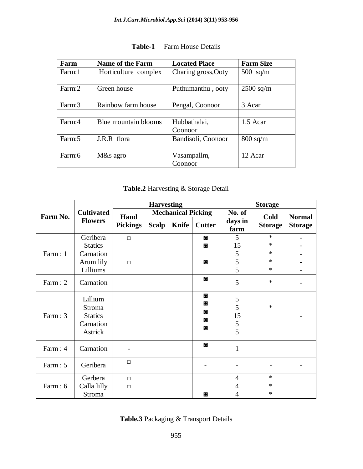| Farm   | <b>Name of the Farm</b> | <b>Located Place</b>    | <b>Farm Size</b> |  |  |
|--------|-------------------------|-------------------------|------------------|--|--|
| Farm:1 | Horticulture complex    | Charing gross, Ooty     | $500$ sq/m       |  |  |
| Farm:2 | Green house             | Puthumanthu, ooty       | $2500$ sq/m      |  |  |
| Farm:3 | Rainbow farm house      | Pengal, Coonoor         | 3 Acar           |  |  |
|        |                         |                         |                  |  |  |
| Farm:4 | Blue mountain blooms    | Hubbathalai,<br>Coonoor | $1.5$ Acar       |  |  |
| Farm:5 | J.R.R flora             | Bandisoli, Coonoor      | $800$ sq/m       |  |  |
| Farm:6 | M&s agro                | Vasampallm,<br>Coonoor  | 12 Acar          |  |  |

## **Table-1** Farm House Details

**Table.2** Harvesting & Storage Detail

| Farm No. | <b>Cultivated</b><br><b>Flowers</b>                         | <b>Harvesting</b> |                           |              |                                                     | <b>Storage</b>                          |                |                |  |
|----------|-------------------------------------------------------------|-------------------|---------------------------|--------------|-----------------------------------------------------|-----------------------------------------|----------------|----------------|--|
|          |                                                             | Hand              | <b>Mechanical Picking</b> |              |                                                     | No. of                                  | Cold           | <b>Normal</b>  |  |
|          |                                                             | <b>Pickings</b>   | <b>Scalp</b>              | <b>Knife</b> | <b>Cutter</b>                                       | days in<br>farm                         | <b>Storage</b> | <b>Storage</b> |  |
| Farm: 1  | Geribera                                                    | $\Box$            |                           |              | $\circ$                                             | 5                                       | $\ast$         |                |  |
|          | <b>Statics</b>                                              |                   |                           |              | $\circ$                                             | 15                                      | $\ast$         |                |  |
|          | Carnation                                                   |                   |                           |              |                                                     | 5                                       | $\ast$         |                |  |
|          | Arum lily                                                   | $\Box$            |                           |              | $\circ$                                             | 5                                       | $\ast$         |                |  |
|          | Lilliums                                                    |                   |                           |              |                                                     | 5                                       | $\ast$         |                |  |
| Farm: 2  | Carnation                                                   |                   |                           |              | $\circ$                                             | 5                                       | $\ast$         |                |  |
| Farm: 3  | Lillium<br>Stroma<br><b>Statics</b><br>Carnation<br>Astrick |                   |                           |              | $\circ$<br>$\circ$<br>$\circ$<br>$\circ$<br>$\circ$ | $\mathfrak s$<br>5<br>15<br>$rac{5}{5}$ | $\ast$         |                |  |
| Farm: 4  | Carnation                                                   |                   |                           |              | $\circ$                                             | $\mathbf{1}$                            |                |                |  |
| Farm: 5  | Geribera                                                    | $\Box$            |                           |              |                                                     |                                         |                |                |  |
| Farm: 6  | Gerbera                                                     | $\Box$            |                           |              |                                                     | $\overline{4}$                          | $\ast$         |                |  |
|          | Calla lilly                                                 | $\Box$            |                           |              |                                                     | 4                                       | $\ast$         |                |  |
|          | Stroma                                                      |                   |                           |              | $\circ$                                             | 4                                       | $\ast$         |                |  |

|  | Table.3 Packaging & Transport Details |  |  |
|--|---------------------------------------|--|--|
|--|---------------------------------------|--|--|